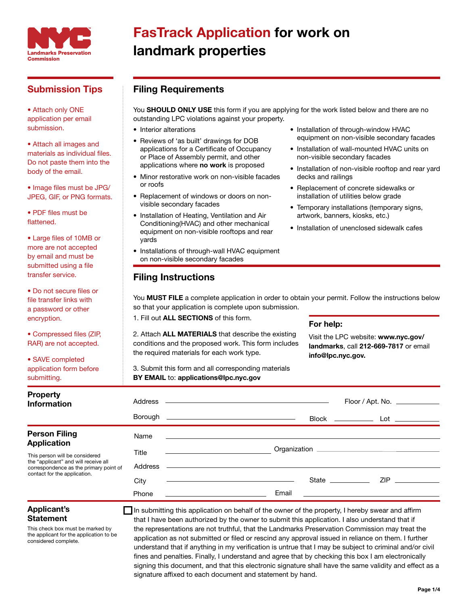

## Submission Tips

• Attach only ONE application per email submission.

• Attach all images and materials as individual files. Do not paste them into the body of the email.

• Image files must be JPG/ JPEG, GIF, or PNG formats.

• PDF files must be flattened.

• Large files of 10MB or more are not accepted by email and must be submitted using a file transfer service.

• Do not secure files or file transfer links with a password or other encryption.

• Compressed files (ZIP, RAR) are not accepted.

• SAVE completed application form before submitting.

# FasTrack Application for work on landmark properties

### Filing Requirements

You SHOULD ONLY USE this form if you are applying for the work listed below and there are no outstanding LPC violations against your property.

- Interior alterations
- Reviews of 'as built' drawings for DOB applications for a Certificate of Occupancy or Place of Assembly permit, and other applications where no work is proposed
- Minor restorative work on non-visible facades or roofs
- Replacement of windows or doors on nonvisible secondary facades
- Installation of Heating, Ventilation and Air Conditioning(HVAC) and other mechanical equipment on non-visible rooftops and rear yards
- Installations of through-wall HVAC equipment on non-visible secondary facades
- Installation of through-window HVAC equipment on non-visible secondary facades
- Installation of wall-mounted HVAC units on non-visible secondary facades
- Installation of non-visible rooftop and rear yard decks and railings
- Replacement of concrete sidewalks or installation of utilities below grade
- Temporary installations (temporary signs, artwork, banners, kiosks, etc.)
- Installation of unenclosed sidewalk cafes

You MUST FILE a complete application in order to obtain your permit. Follow the instructions below so that your application is complete upon submission.

1. Fill out ALL SECTIONS of this form.

Filing Instructions

2. Attach ALL MATERIALS that describe the existing conditions and the proposed work. This form includes the required materials for each work type.

3. Submit this form and all corresponding materials BY EMAIL to: applications@lpc.nyc.gov

### For help:

Visit the LPC website: www.nyc.gov/ landmarks, call 212-669-7817 or email info@lpc.nyc.gov.

| <b>Property</b><br><b>Information</b>                                  | Borough 5 | Address ————————————————————<br><u> 2000 - Andrea Andrew Maria (h. 1878).</u><br>$Block$ _________<br>$\mathsf{Lot}$ $\_\_$ |
|------------------------------------------------------------------------|-----------|-----------------------------------------------------------------------------------------------------------------------------|
| <b>Person Filing</b>                                                   | Name      |                                                                                                                             |
| <b>Application</b>                                                     |           |                                                                                                                             |
| This person will be considered<br>the "applicant" and will receive all | Title     |                                                                                                                             |
| correspondence as the primary point of<br>contact for the application. | Address   |                                                                                                                             |
|                                                                        | City      | $ZIP$ _________<br>State ____________                                                                                       |
|                                                                        | Phone     | Email<br><u> 1980 - Jan Barbara Barbara, maskin</u>                                                                         |

### Applicant's Statement

This check box must be marked by the applicant for the application to be considered complete.

In submitting this application on behalf of the owner of the property, I hereby swear and affirm that I have been authorized by the owner to submit this application. I also understand that if the representations are not truthful, that the Landmarks Preservation Commission may treat the application as not submitted or filed or rescind any approval issued in reliance on them. I further understand that if anything in my verification is untrue that I may be subject to criminal and/or civil fines and penalties. Finally, I understand and agree that by checking this box I am electronically signing this document, and that this electronic signature shall have the same validity and effect as a signature affixed to each document and statement by hand.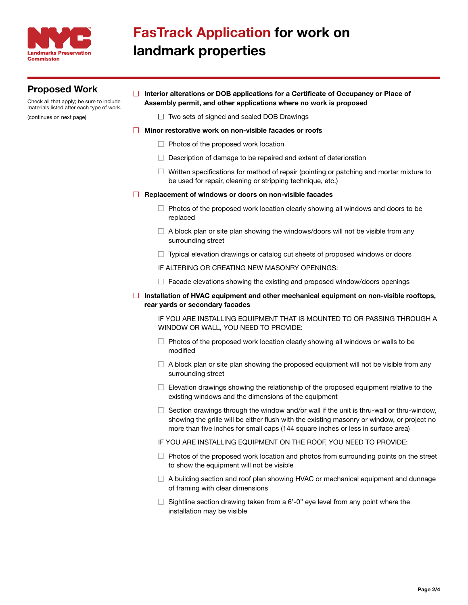

# FasTrack Application for work on landmark properties

## Proposed Work

Check all that apply; be sure to include materials listed after each type of work.

(continues on next page)

### $\Box$  Interior alterations or DOB applications for a Certificate of Occupancy or Place of Assembly permit, and other applications where no work is proposed

 $\Box$  Two sets of signed and sealed DOB Drawings

### □ Minor restorative work on non-visible facades or roofs

- $\Box$  Photos of the proposed work location
- $\Box$  Description of damage to be repaired and extent of deterioration
- $\Box$  Written specifications for method of repair (pointing or patching and mortar mixture to be used for repair, cleaning or stripping technique, etc.)

#### $\Box$  Replacement of windows or doors on non-visible facades

- $\Box$  Photos of the proposed work location clearly showing all windows and doors to be replaced
- $\Box$  A block plan or site plan showing the windows/doors will not be visible from any surrounding street
- $\Box$  Typical elevation drawings or catalog cut sheets of proposed windows or doors
- IF ALTERING OR CREATING NEW MASONRY OPENINGS:
- $\Box$  Facade elevations showing the existing and proposed window/doors openings
- $\Box$  Installation of HVAC equipment and other mechanical equipment on non-visible rooftops, rear yards or secondary facades

IF YOU ARE INSTALLING EQUIPMENT THAT IS MOUNTED TO OR PASSING THROUGH A WINDOW OR WALL, YOU NEED TO PROVIDE:

- $\Box$  Photos of the proposed work location clearly showing all windows or walls to be modified
- $\Box$  A block plan or site plan showing the proposed equipment will not be visible from any surrounding street
- $\Box$  Elevation drawings showing the relationship of the proposed equipment relative to the existing windows and the dimensions of the equipment
- $\Box$  Section drawings through the window and/or wall if the unit is thru-wall or thru-window, showing the grille will be either flush with the existing masonry or window, or project no more than five inches for small caps (144 square inches or less in surface area)
- IF YOU ARE INSTALLING EQUIPMENT ON THE ROOF, YOU NEED TO PROVIDE:
- $\Box$  Photos of the proposed work location and photos from surrounding points on the street to show the equipment will not be visible
- $\Box$  A building section and roof plan showing HVAC or mechanical equipment and dunnage of framing with clear dimensions
- $\Box$  Sightline section drawing taken from a 6'-0" eye level from any point where the installation may be visible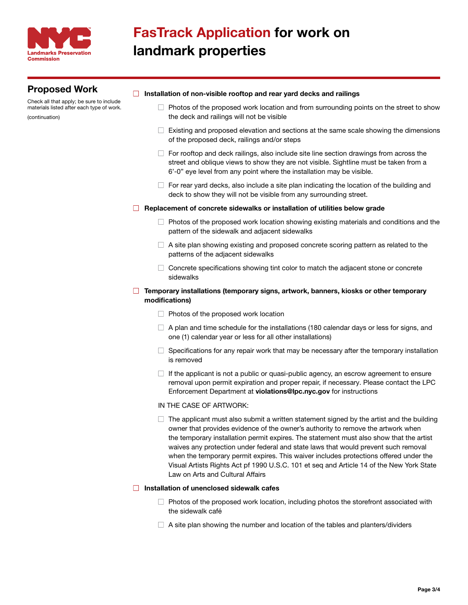

### Proposed Work

Check all that apply; be sure to include materials listed after each type of work. (continuation)

#### $\Box$  Installation of non-visible rooftop and rear yard decks and railings

- $\Box$  Photos of the proposed work location and from surrounding points on the street to show the deck and railings will not be visible
- $\Box$  Existing and proposed elevation and sections at the same scale showing the dimensions of the proposed deck, railings and/or steps
- $\Box$  For rooftop and deck railings, also include site line section drawings from across the street and oblique views to show they are not visible. Sightline must be taken from a 6'-0" eye level from any point where the installation may be visible.
- $\Box$  For rear yard decks, also include a site plan indicating the location of the building and deck to show they will not be visible from any surrounding street.

#### $\Box$  Replacement of concrete sidewalks or installation of utilities below grade

- $\Box$  Photos of the proposed work location showing existing materials and conditions and the pattern of the sidewalk and adjacent sidewalks
- $\Box$  A site plan showing existing and proposed concrete scoring pattern as related to the patterns of the adjacent sidewalks
- $\Box$  Concrete specifications showing tint color to match the adjacent stone or concrete sidewalks

### $\Box$  Temporary installations (temporary signs, artwork, banners, kiosks or other temporary modifications)

- $\Box$  Photos of the proposed work location
- $\Box$  A plan and time schedule for the installations (180 calendar days or less for signs, and one (1) calendar year or less for all other installations)
- $\Box$  Specifications for any repair work that may be necessary after the temporary installation is removed
- $\Box$  If the applicant is not a public or quasi-public agency, an escrow agreement to ensure removal upon permit expiration and proper repair, if necessary. Please contact the LPC Enforcement Department at violations@lpc.nyc.gov for instructions

#### IN THE CASE OF ARTWORK:

 $\Box$  The applicant must also submit a written statement signed by the artist and the building owner that provides evidence of the owner's authority to remove the artwork when the temporary installation permit expires. The statement must also show that the artist waives any protection under federal and state laws that would prevent such removal when the temporary permit expires. This waiver includes protections offered under the Visual Artists Rights Act pf 1990 U.S.C. 101 et seq and Article 14 of the New York State Law on Arts and Cultural Affairs

#### $\Box$  Installation of unenclosed sidewalk cafes

- $\Box$  Photos of the proposed work location, including photos the storefront associated with the sidewalk café
- $\Box$  A site plan showing the number and location of the tables and planters/dividers